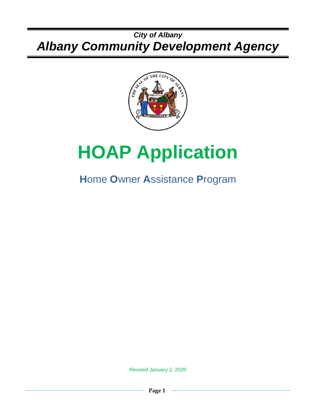# *City of Albany Albany Community Development Agency*



# **HOAP Application**

# **H**ome **O**wner **A**ssistance **P**rogram

Revised January 2, 2020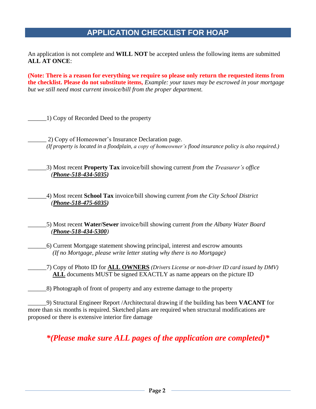# **APPLICATION CHECKLIST FOR HOAP**

An application is not complete and **WILL NOT** be accepted unless the following items are submitted **ALL AT ONCE**:

**(Note: There is a reason for everything we require so please only return the requested items from the checklist. Please do not substitute items,** *Example: your taxes may be escrowed in your mortgage but we still need most current invoice/bill from the proper department.*

\_\_\_\_\_\_1) Copy of Recorded Deed to the property

\_\_\_\_\_\_ 2) Copy of Homeowner's Insurance Declaration page. *(If property is located in a floodplain, a copy of homeowner's flood insurance policy is also required.)*

\_\_\_\_\_\_3) Most recent **Property Tax** invoice/bill showing current *from the Treasurer's office (Phone-518-434-5035)*

\_\_\_\_\_\_4) Most recent **School Tax** invoice/bill showing current *from the City School District (Phone-518-475-6035)*

\_\_\_\_\_\_5) Most recent **Water/Sewer** invoice/bill showing current *from the Albany Water Board (Phone-518-434-5300)*

\_\_\_\_\_\_6) Current Mortgage statement showing principal, interest and escrow amounts  *(If no Mortgage, please write letter stating why there is no Mortgage)*

\_\_\_\_\_\_7) Copy of Photo ID for **ALL OWNERS** *(Drivers License or non-driver ID card issued by DMV)* **ALL** documents MUST be signed EXACTLY as name appears on the picture ID

\_\_\_\_\_\_8) Photograph of front of property and any extreme damage to the property

\_\_\_\_\_\_9) Structural Engineer Report /Architectural drawing if the building has been **VACANT** for more than six months is required. Sketched plans are required when structural modifications are proposed or there is extensive interior fire damage

*\*(Please make sure ALL pages of the application are completed)\**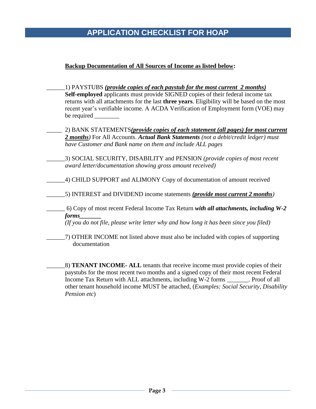# **APPLICATION CHECKLIST FOR HOAP**

#### **Backup Documentation of All Sources of Income as listed below:**

- \_\_\_\_\_\_1) PAYSTUBS *(provide copies of each paystub for the most current 2 months)* **Self-employed** applicants must provide SIGNED copies of their federal income tax returns with all attachments for the last **three years**. Eligibility will be based on the most recent year's verifiable income. A ACDA Verification of Employment form (VOE) may be required
- \_\_\_\_\_ 2) BANK STATEMENTS*(provide copies of each statement (all pages) for most current 2 months)* For All Accounts. *Actual Bank Statements (not a debit/credit ledger) must have Customer and Bank name on them and include ALL pages*
- \_\_\_\_\_\_3) SOCIAL SECURITY, DISABILITY and PENSION *(provide copies of most recent award letter/documentation showing gross amount received)*
- \_\_\_\_\_\_4) CHILD SUPPORT and ALIMONY Copy of documentation of amount received
	- \_\_\_\_\_\_5) INTEREST and DIVIDEND income statements *(provide most current 2 months)*
	- \_\_\_\_\_\_ 6) Copy of most recent Federal Income Tax Return *with all attachments, including W-2 forms\_\_\_\_\_\_\_*

*(If you do not file, please write letter why and how long it has been since you filed)*

\_\_\_\_\_\_7) OTHER INCOME not listed above must also be included with copies of supporting documentation

\_\_\_\_\_\_8) **TENANT INCOME- ALL** tenants that receive income must provide copies of their paystubs for the most recent two months and a signed copy of their most recent Federal Income Tax Return with ALL attachments, including W-2 forms \_\_\_\_\_\_\_. Proof of all other tenant household income MUST be attached, (*Examples: Social Security, Disability Pension etc*)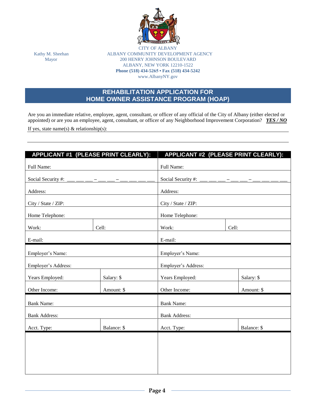

**CITY OF ALB** Kathy M. Sheehan ALBANY COMMUNITY DEVELOPMENT AGENCY Mayor 200 HENRY JOHNSON BOULEVARD ALBANY, NEW YORK 12210-1522 **Phone (518) 434-5265 • Fax (518) 434-5242** www.AlbanyNY.gov

# **REHABILITATION APPLICATION FOR HOME OWNER ASSISTANCE PROGRAM (HOAP)**

Are you an immediate relative, employee, agent, consultant, or officer of any official of the City of Albany (either elected or appointed) or are you an employee, agent, consultant, or officer of any Neighborhood Improvement Corporation? *YES / NO*

If yes, state name(s)  $\&$  relationship(s):

| APPLICANT #1 (PLEASE PRINT CLEARLY):             |             | APPLICANT #2 (PLEASE PRINT CLEARLY):           |             |  |  |  |  |
|--------------------------------------------------|-------------|------------------------------------------------|-------------|--|--|--|--|
| Full Name:                                       |             | Full Name:                                     |             |  |  |  |  |
| Social Security #: ___ __ __ _ _ _ _ _ _ _ _ _ _ |             | Social Security #: ___ __ __ __ __ __ __ __ __ |             |  |  |  |  |
| Address:                                         |             | Address:                                       |             |  |  |  |  |
| City / State / ZIP:                              |             | City / State / ZIP:                            |             |  |  |  |  |
| Home Telephone:                                  |             | Home Telephone:                                |             |  |  |  |  |
| Work:                                            | Cell:       | Work:<br>Cell:                                 |             |  |  |  |  |
| E-mail:                                          |             | E-mail:                                        |             |  |  |  |  |
| Employer's Name:                                 |             | Employer's Name:                               |             |  |  |  |  |
| Employer's Address:                              |             | Employer's Address:                            |             |  |  |  |  |
| Years Employed:                                  | Salary: \$  | Years Employed:                                | Salary: \$  |  |  |  |  |
| Other Income:                                    | Amount: \$  | Other Income:                                  | Amount: \$  |  |  |  |  |
| <b>Bank Name:</b>                                |             | <b>Bank Name:</b>                              |             |  |  |  |  |
| <b>Bank Address:</b>                             |             | <b>Bank Address:</b>                           |             |  |  |  |  |
| Acct. Type:                                      | Balance: \$ | Acct. Type:                                    | Balance: \$ |  |  |  |  |
|                                                  |             |                                                |             |  |  |  |  |
|                                                  |             |                                                |             |  |  |  |  |
|                                                  |             |                                                |             |  |  |  |  |
|                                                  |             |                                                |             |  |  |  |  |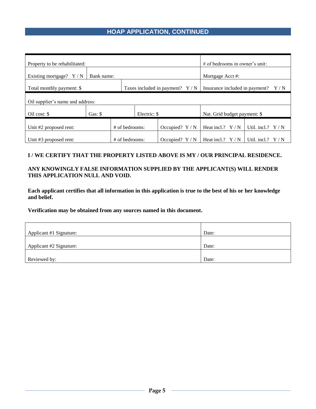# **HOAP APPLICATION, CONTINUED**

| Property to be rehabilitated:                                                                          |                  |  |                  |                   | $#$ of bedrooms in owner's unit: |                    |  |  |
|--------------------------------------------------------------------------------------------------------|------------------|--|------------------|-------------------|----------------------------------|--------------------|--|--|
| Existing mortgage? $Y/N$<br>Bank name:                                                                 |                  |  |                  |                   | Mortgage Acct #:                 |                    |  |  |
| Taxes included in payment? $Y/N$<br>Total monthly payment: \$<br>Insurance included in payment?<br>Y/N |                  |  |                  |                   |                                  |                    |  |  |
| Oil supplier's name and address:                                                                       |                  |  |                  |                   |                                  |                    |  |  |
| Electric: \$<br>Oil cost: \$<br>Gas: $\mathcal S$                                                      |                  |  |                  |                   | Nat. Grid budget payment: \$     |                    |  |  |
| Unit #2 proposed rent:                                                                                 |                  |  | $#$ of bedrooms: | Occupied? $Y/N$   | Heat incl.? $Y/N$                | Util. incl.? $Y/N$ |  |  |
| Unit #3 proposed rent:                                                                                 | $#$ of bedrooms: |  | Occupied? $Y/N$  | Heat incl.? $Y/N$ | Util. incl.?                     |                    |  |  |

#### **I / WE CERTIFY THAT THE PROPERTY LISTED ABOVE IS MY / OUR PRINCIPAL RESIDENCE.**

#### **ANY KNOWINGLY FALSE INFORMATION SUPPLIED BY THE APPLICANT(S) WILL RENDER THIS APPLICATION NULL AND VOID.**

**Each applicant certifies that all information in this application is true to the best of his or her knowledge and belief.**

**Verification may be obtained from any sources named in this document.**

| Applicant #1 Signature: | Date: |
|-------------------------|-------|
|                         |       |
| Applicant #2 Signature: | Date: |
|                         |       |
| Reviewed by:            | Date: |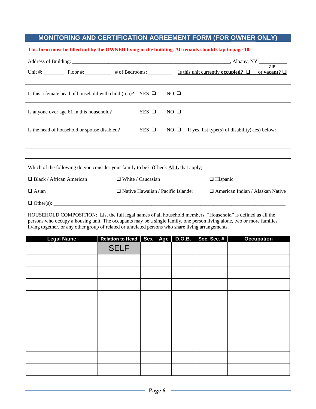## **MONITORING AND CERTIFICATION AGREEMENT FORM (FOR OWNER ONLY)**

#### **This form must be filled out by the OWNER living in the building. All tenants should skip to page 10.**

|                                                                                         |              |             | <b>ZIP</b><br>Unit #: Floor #: $\frac{1}{2}$ Floor #: $\frac{1}{2}$ + of Bedrooms: $\frac{1}{2}$ Is this unit currently occupied? $\Box$ or vacant? $\Box$ |                 |  |  |  |
|-----------------------------------------------------------------------------------------|--------------|-------------|------------------------------------------------------------------------------------------------------------------------------------------------------------|-----------------|--|--|--|
| Is this a female head of household with child (ren)? YES $\Box$                         |              |             | $NO$ $\Box$                                                                                                                                                |                 |  |  |  |
| Is anyone over age 61 in this household?                                                |              | YES Q       | $NO$ $\Box$                                                                                                                                                |                 |  |  |  |
| Is the head of household or spouse disabled?                                            | $YES$ $\Box$ | $NO$ $\Box$ | If yes, list type(s) of disability( $-i$ es) below:                                                                                                        |                 |  |  |  |
|                                                                                         |              |             |                                                                                                                                                            |                 |  |  |  |
|                                                                                         |              |             |                                                                                                                                                            |                 |  |  |  |
| Which of the following do you consider your family to be? (Check <b>ALL</b> that apply) |              |             |                                                                                                                                                            |                 |  |  |  |
| $\Box$ Black / African American<br>$\Box$ White / Caucasian                             |              |             |                                                                                                                                                            | $\Box$ Hispanic |  |  |  |
| $\Box$ Native Hawaiian / Pacific Islander<br>$\Box$ Asian                               |              |             | $\Box$ American Indian / Alaskan Native                                                                                                                    |                 |  |  |  |

Other(s): \_\_\_\_\_\_\_\_\_\_\_\_\_\_\_\_\_\_\_\_\_\_\_\_\_\_\_\_\_\_\_\_\_\_\_\_\_\_\_\_\_\_\_\_\_\_\_\_\_\_\_\_\_\_\_\_\_\_\_\_\_\_\_\_\_\_\_\_\_\_\_\_\_\_\_\_\_\_\_\_\_\_\_\_\_\_\_\_\_\_

HOUSEHOLD COMPOSITION: List the full legal names of all household members. "Household" is defined as all the persons who occupy a housing unit. The occupants may be a single family, one person living alone, two or more families living together, or any other group of related or unrelated persons who share living arrangements.

| <b>Legal Name</b> | Relation to Head   Sex   Age |  | <b>D.O.B.</b> | Soc. Sec. # | <b>Occupation</b> |
|-------------------|------------------------------|--|---------------|-------------|-------------------|
|                   | <b>SELF</b>                  |  |               |             |                   |
|                   |                              |  |               |             |                   |
|                   |                              |  |               |             |                   |
|                   |                              |  |               |             |                   |
|                   |                              |  |               |             |                   |
|                   |                              |  |               |             |                   |
|                   |                              |  |               |             |                   |
|                   |                              |  |               |             |                   |
|                   |                              |  |               |             |                   |
|                   |                              |  |               |             |                   |
|                   |                              |  |               |             |                   |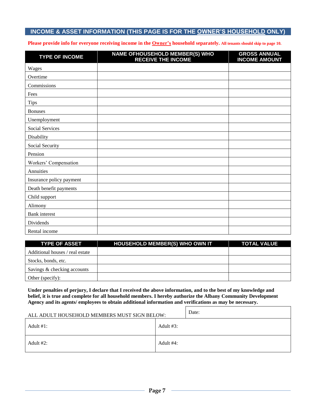#### **INCOME & ASSET INFORMATION (THIS PAGE IS FOR THE OWNER'S HOUSEHOLD ONLY)**

#### **Please provide info for everyone receiving income in the Owner's household separately. All tenants should skip to page 10.**

| <b>TYPE OF INCOME</b>    | <b>NAME OFHOUSEHOLD MEMBER(S) WHO<br/>RECEIVE THE INCOME</b> | <b>GROSS ANNUAL</b><br><b>INCOME AMOUNT</b> |
|--------------------------|--------------------------------------------------------------|---------------------------------------------|
| Wages                    |                                                              |                                             |
| Overtime                 |                                                              |                                             |
| Commissions              |                                                              |                                             |
| Fees                     |                                                              |                                             |
| <b>Tips</b>              |                                                              |                                             |
| <b>Bonuses</b>           |                                                              |                                             |
| Unemployment             |                                                              |                                             |
| Social Services          |                                                              |                                             |
| Disability               |                                                              |                                             |
| Social Security          |                                                              |                                             |
| Pension                  |                                                              |                                             |
| Workers' Compensation    |                                                              |                                             |
| Annuities                |                                                              |                                             |
| Insurance policy payment |                                                              |                                             |
| Death benefit payments   |                                                              |                                             |
| Child support            |                                                              |                                             |
| Alimony                  |                                                              |                                             |
| <b>Bank</b> interest     |                                                              |                                             |
| Dividends                |                                                              |                                             |
| Rental income            |                                                              |                                             |

| <b>TYPE OF ASSET</b>            | <b>HOUSEHOLD MEMBER(S) WHO OWN IT</b> | <b>TOTAL VALUE</b> |
|---------------------------------|---------------------------------------|--------------------|
| Additional houses / real estate |                                       |                    |
| Stocks, bonds, etc.             |                                       |                    |
| Savings & checking accounts     |                                       |                    |
| Other (specify):                |                                       |                    |

**Under penalties of perjury, I declare that I received the above information, and to the best of my knowledge and belief, it is true and complete for all household members. I hereby authorize the Albany Community Development Agency and its agents/ employees to obtain additional information and verifications as may be necessary.**

| ALL ADULT HOUSEHOLD MEMBERS MUST SIGN BELOW: | Date:     |  |
|----------------------------------------------|-----------|--|
| Adult $#1$ :                                 | Adult #3: |  |
| Adult $#2$ :                                 | Adult #4: |  |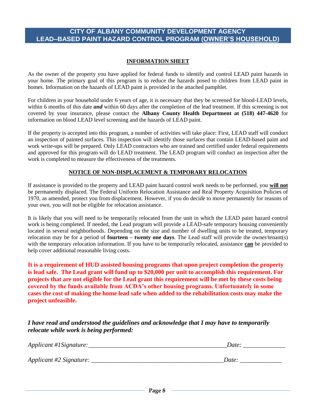#### **CITY OF ALBANY COMMUNITY DEVELOPMENT AGENCY LEAD–BASED PAINT HAZARD CONTROL PROGRAM (OWNER'S HOUSEHOLD)**

#### **INFORMATION SHEET**

As the owner of the property you have applied for federal funds to identify and control LEAD paint hazards in your home. The primary goal of this program is to reduce the hazards posed to children from LEAD paint in homes. Information on the hazards of LEAD paint is provided in the attached pamphlet.

For children in your household under 6 years of age, it is necessary that they be screened for blood-LEAD levels, within 6 months of this date **and** within 60 days after the completion of the lead treatment. If this screening is not covered by your insurance, please contact the **Albany County Health Department at (518) 447-4620** for information on blood LEAD level screening and the hazards of LEAD paint.

If the property is accepted into this program, a number of activities will take place: First, LEAD staff will conduct an inspection of painted surfaces. This inspection will identify those surfaces that contain LEAD-based paint and work write-ups will be prepared. Only LEAD contractors who are trained and certified under federal requirements and approved for this program will do LEAD treatment. The LEAD program will conduct an inspection after the work is completed to measure the effectiveness of the treatments.

#### **NOTICE OF NON-DISPLACEMENT & TEMPORARY RELOCATION**

If assistance is provided to the property and LEAD paint hazard control work needs to be performed, you **will not** be permanently displaced. The Federal Uniform Relocation Assistance and Real Property Acquisition Policies of 1970, as amended, protect you from displacement. However, if you do decide to move permanently for reasons of your own, you will not be eligible for relocation assistance.

It is likely that you will need to be temporarily relocated from the unit in which the LEAD paint hazard control work is being completed. If needed, the Lead program will provide a LEAD-safe temporary housing conveniently located in several neighborhoods. Depending on the size and number of dwelling units to be treated, temporary relocation may be for a period of **fourteen – twenty one days**. The Lead staff will provide the owner/tenant(s) with the temporary relocation information. If you have to be temporarily relocated, assistance **can** be provided to help cover additional reasonable living costs.

**It is a requirement of HUD assisted housing programs that upon project completion the property is lead safe. The Lead grant will fund up to \$20,000 per unit to accomplish this requirement. For projects that are not eligible for the Lead grant this requirement will be met by these costs being covered by the funds available from ACDA's other housing programs. Unfortunately in some cases the cost of making the home lead safe when added to the rehabilitation costs may make the project unfeasible.**

*I have read and understood the guidelines and acknowledge that I may have to temporarily relocate while work is being performed:*

| Applicant #1Signature:  | <b>J</b> ate |
|-------------------------|--------------|
|                         |              |
| Applicant #2 Signature: | Date.        |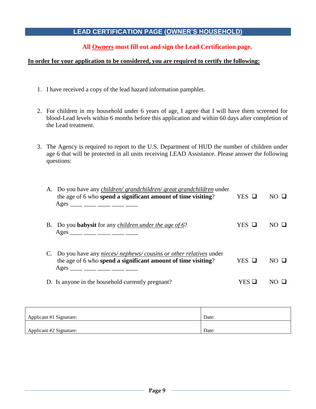# **LEAD CERTIFICATION PAGE (OWNER'S HOUSEHOLD)**

# **All Owners must fill out and sign the Lead Certification page.**

#### **In order for your application to be considered, you are required to certify the following:**

- 1. I have received a copy of the lead hazard information pamphlet.
- 2. For children in my household under 6 years of age, I agree that I will have them screened for blood-Lead levels within 6 months before this application and within 60 days after completion of the Lead treatment.
- 3. The Agency is required to report to the U.S. Department of HUD the number of children under age 6 that will be protected in all units receiving LEAD Assistance. Please answer the following questions:

| A. Do you have any <i>children/ grandchildren/ great grandchildren</i> under<br>the age of 6 who spend a significant amount of time visiting?<br>Ages ____ ____ ____ ____ ____  | YES O  | NO H         |
|---------------------------------------------------------------------------------------------------------------------------------------------------------------------------------|--------|--------------|
| B. Do you <b>babysit</b> for any <i>children under the age of 6?</i><br>Ages ____ ___ ___ ___ ____ ____                                                                         | YES O  | $N()$ $\Box$ |
| C. Do you have any <i>nieces/nephews/cousins or other relatives</i> under<br>the age of 6 who spend a significant amount of time visiting?<br>Ages ____ ___ ____ ____ ____ ____ | YES O  | NO H         |
| D. Is anyone in the household currently pregnant?                                                                                                                               | YES LI |              |

| Applicant #1 Signature: | Date: |
|-------------------------|-------|
|                         |       |
| Applicant #2 Signature: | Date: |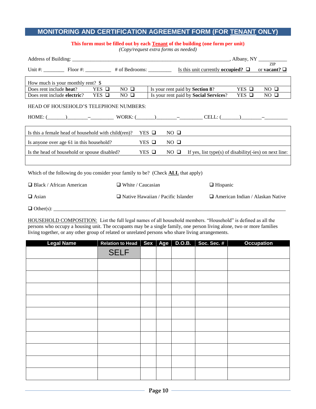# **MONITORING AND CERTIFICATION AGREEMENT FORM (FOR TENANT ONLY)**

#### **This form must be filled out by each Tenant of the building (one form per unit)**

*(Copy/request extra forms as needed)*

|                                    |                                                                                         |             |              |             |                                                            |                 | ZIP<br>or vacant? $\Box$ |
|------------------------------------|-----------------------------------------------------------------------------------------|-------------|--------------|-------------|------------------------------------------------------------|-----------------|--------------------------|
| How much is your monthly rent? $\$ |                                                                                         |             |              |             |                                                            |                 |                          |
| Does rent include <b>heat</b> ?    | $YES$ $\Box$                                                                            | $NO$ $\Box$ |              |             | Is your rent paid by <b>Section 8</b> ?                    | $YES$ $\square$ | $NO$ $\Box$              |
|                                    | Does rent include electric? YES $\Box$                                                  | $NO$ $\Box$ |              |             | Is your rent paid by <b>Social Services</b> ?              | $YES$ $\Box$    | $NO$ $\Box$              |
|                                    | HEAD OF HOUSEHOLD'S TELEPHONE NUMBERS:                                                  |             |              |             |                                                            |                 |                          |
|                                    | Is this a female head of household with child (ren)?                                    |             | YES Q        | $NO$ $\Box$ |                                                            |                 |                          |
|                                    | Is anyone over age 61 in this household?                                                |             | YES Q        | $NO$ $\Box$ |                                                            |                 |                          |
|                                    | Is the head of household or spouse disabled?                                            |             | $YES$ $\Box$ | $NO$ $\Box$ | If yes, list type(s) of disability( $-ies$ ) on next line: |                 |                          |
|                                    |                                                                                         |             |              |             |                                                            |                 |                          |
|                                    | Which of the following do you consider your family to be? (Check <b>ALL</b> that apply) |             |              |             |                                                            |                 |                          |

| $\Box$ Black / African American | $\Box$ White / Caucasian                  | $\Box$ Hispanic                         |
|---------------------------------|-------------------------------------------|-----------------------------------------|
| $\Box$ Asian                    | $\Box$ Native Hawaiian / Pacific Islander | $\Box$ American Indian / Alaskan Native |
| $\Box$ Other(s):                |                                           |                                         |

HOUSEHOLD COMPOSITION: List the full legal names of all household members. "Household" is defined as all the persons who occupy a housing unit. The occupants may be a single family, one person living alone, two or more families living together, or any other group of related or unrelated persons who share living arrangements.

| <b>Legal Name</b> | Relation to Head   Sex   Age |  | D.O.B. | Soc. Sec. # | <b>Occupation</b> |
|-------------------|------------------------------|--|--------|-------------|-------------------|
|                   | <b>SELF</b>                  |  |        |             |                   |
|                   |                              |  |        |             |                   |
|                   |                              |  |        |             |                   |
|                   |                              |  |        |             |                   |
|                   |                              |  |        |             |                   |
|                   |                              |  |        |             |                   |
|                   |                              |  |        |             |                   |
|                   |                              |  |        |             |                   |
|                   |                              |  |        |             |                   |
|                   |                              |  |        |             |                   |
|                   |                              |  |        |             |                   |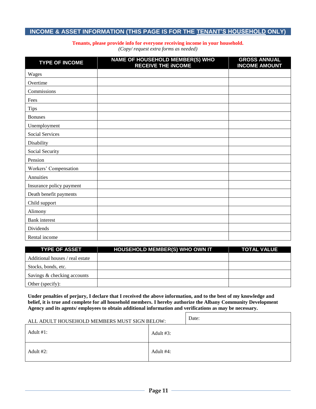#### **INCOME & ASSET INFORMATION (THIS PAGE IS FOR THE TENANT'S HOUSEHOLD ONLY)**

#### **Tenants, please provide info for everyone receiving income in your household.**

*(Copy/ request extra forms as needed)*

| <b>TYPE OF INCOME</b>    | NAME OF HOUSEHOLD MEMBER(S) WHO<br><b>RECEIVE THE INCOME</b> | <b>GROSS ANNUAL</b><br><b>INCOME AMOUNT</b> |
|--------------------------|--------------------------------------------------------------|---------------------------------------------|
| Wages                    |                                                              |                                             |
| Overtime                 |                                                              |                                             |
| Commissions              |                                                              |                                             |
| Fees                     |                                                              |                                             |
| <b>Tips</b>              |                                                              |                                             |
| <b>Bonuses</b>           |                                                              |                                             |
| Unemployment             |                                                              |                                             |
| Social Services          |                                                              |                                             |
| Disability               |                                                              |                                             |
| Social Security          |                                                              |                                             |
| Pension                  |                                                              |                                             |
| Workers' Compensation    |                                                              |                                             |
| Annuities                |                                                              |                                             |
| Insurance policy payment |                                                              |                                             |
| Death benefit payments   |                                                              |                                             |
| Child support            |                                                              |                                             |
| Alimony                  |                                                              |                                             |
| <b>Bank</b> interest     |                                                              |                                             |
| Dividends                |                                                              |                                             |
| Rental income            |                                                              |                                             |

| <b>TYPE OF ASSET</b>            | <b>HOUSEHOLD MEMBER(S) WHO OWN IT</b> | <b>TOTAL VALUE</b> |
|---------------------------------|---------------------------------------|--------------------|
| Additional houses / real estate |                                       |                    |
| Stocks, bonds, etc.             |                                       |                    |
| Savings & checking accounts     |                                       |                    |
| Other (specify):                |                                       |                    |

**Under penalties of perjury, I declare that I received the above information, and to the best of my knowledge and belief, it is true and complete for all household members. I hereby authorize the Albany Community Development Agency and its agents/ employees to obtain additional information and verifications as may be necessary.**

| ALL ADULT HOUSEHOLD MEMBERS MUST SIGN BELOW: |              | Date: |
|----------------------------------------------|--------------|-------|
| Adult $#1$ :                                 | Adult $#3$ : |       |
| Adult $#2$ :                                 | Adult #4:    |       |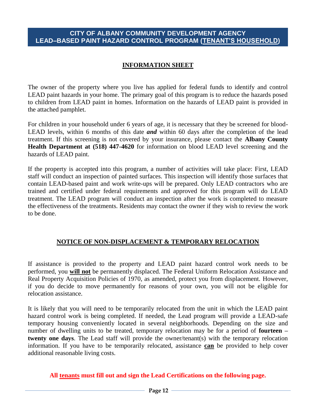#### **CITY OF ALBANY COMMUNITY DEVELOPMENT AGENCY LEAD–BASED PAINT HAZARD CONTROL PROGRAM (TENANT'S HOUSEHOLD)**

## **INFORMATION SHEET**

The owner of the property where you live has applied for federal funds to identify and control LEAD paint hazards in your home. The primary goal of this program is to reduce the hazards posed to children from LEAD paint in homes. Information on the hazards of LEAD paint is provided in the attached pamphlet.

For children in your household under 6 years of age, it is necessary that they be screened for blood-LEAD levels, within 6 months of this date *and* within 60 days after the completion of the lead treatment. If this screening is not covered by your insurance, please contact the **Albany County Health Department at (518) 447-4620** for information on blood LEAD level screening and the hazards of LEAD paint.

If the property is accepted into this program, a number of activities will take place: First, LEAD staff will conduct an inspection of painted surfaces. This inspection will identify those surfaces that contain LEAD-based paint and work write-ups will be prepared. Only LEAD contractors who are trained and certified under federal requirements and approved for this program will do LEAD treatment. The LEAD program will conduct an inspection after the work is completed to measure the effectiveness of the treatments. Residents may contact the owner if they wish to review the work to be done.

#### **NOTICE OF NON-DISPLACEMENT & TEMPORARY RELOCATION**

If assistance is provided to the property and LEAD paint hazard control work needs to be performed, you **will not** be permanently displaced. The Federal Uniform Relocation Assistance and Real Property Acquisition Policies of 1970, as amended, protect you from displacement. However, if you do decide to move permanently for reasons of your own, you will not be eligible for relocation assistance.

It is likely that you will need to be temporarily relocated from the unit in which the LEAD paint hazard control work is being completed. If needed, the Lead program will provide a LEAD-safe temporary housing conveniently located in several neighborhoods. Depending on the size and number of dwelling units to be treated, temporary relocation may be for a period of **fourteen – twenty one days**. The Lead staff will provide the owner/tenant(s) with the temporary relocation information. If you have to be temporarily relocated, assistance **can** be provided to help cover additional reasonable living costs.

#### **All tenants must fill out and sign the Lead Certifications on the following page.**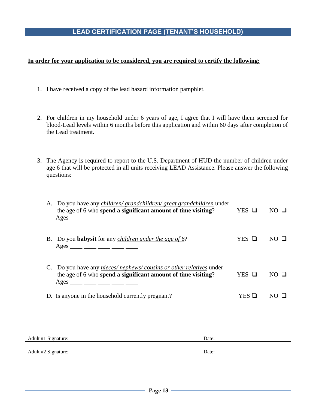## **LEAD CERTIFICATION PAGE (TENANT'S HOUSEHOLD)**

#### **In order for your application to be considered, you are required to certify the following:**

- 1. I have received a copy of the lead hazard information pamphlet.
- 2. For children in my household under 6 years of age, I agree that I will have them screened for blood-Lead levels within 6 months before this application and within 60 days after completion of the Lead treatment.
- 3. The Agency is required to report to the U.S. Department of HUD the number of children under age 6 that will be protected in all units receiving LEAD Assistance. Please answer the following questions:

| A. Do you have any <i>children/ grandchildren/ great grandchildren</i> under<br>the age of 6 who spend a significant amount of time visiting?<br>Ages ____ ____ ____ ____ ____ ____ | $YES$ $\Box$ | $NO$ $\Box$  |
|-------------------------------------------------------------------------------------------------------------------------------------------------------------------------------------|--------------|--------------|
| B. Do you <b>babysit</b> for any <i>children under the age of 6?</i><br>Ages ____ ____ ____ ____ ____ ____                                                                          | YES O        | $N()$ $\Box$ |
| C. Do you have any <i>nieces/nephews/cousins or other relatives</i> under<br>the age of 6 who spend a significant amount of time visiting?<br>Ages ____ ___ ____ ____ ____ ____     | YES O        | $NO$ $\Box$  |
| D. Is anyone in the household currently pregnant?                                                                                                                                   | YES.         |              |

| Adult #1 Signature: | Date: |
|---------------------|-------|
|                     |       |
| Adult #2 Signature: | Date: |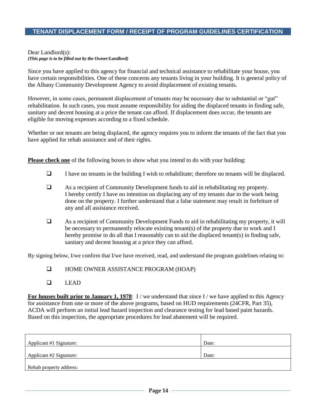## **TENANT DISPLACEMENT FORM / RECEIPT OF PROGRAM GUIDELINES CERTIFICATION**

#### Dear Landlord(s): *(This page is to be filled out by the Owner/Landlord)*

Since you have applied to this agency for financial and technical assistance to rehabilitate your house, you have certain responsibilities. One of these concerns any tenants living in your building. It is general policy of the Albany Community Development Agency to avoid displacement of existing tenants.

However, in some cases, permanent displacement of tenants may be necessary due to substantial or "gut" rehabilitation. In such cases, you must assume responsibility for aiding the displaced tenants in finding safe, sanitary and decent housing at a price the tenant can afford. If displacement does occur, the tenants are eligible for moving expenses according to a fixed schedule.

Whether or not tenants are being displaced, the agency requires you to inform the tenants of the fact that you have applied for rehab assistance and of their rights.

**Please check one** of the following boxes to show what you intend to do with your building:

- $\Box$  I have no tenants in the building I wish to rehabilitate; therefore no tenants will be displaced.
- As a recipient of Community Development funds to aid in rehabilitating my property. I hereby certify I have no intention on displacing any of my tenants due to the work being done on the property. I further understand that a false statement may result in forfeiture of any and all assistance received.
- As a recipient of Community Development Funds to aid in rehabilitating my property, it will be necessary to permanently relocate existing tenant(s) of the property due to work and I hereby promise to do all that I reasonably can to aid the displaced tenant(s) in finding safe, sanitary and decent housing at a price they can afford.

By signing below, I/we confirm that I/we have received, read, and understand the program guidelines relating to:

- **HOME OWNER ASSISTANCE PROGRAM (HOAP)**
- $\Box$  LEAD

**For houses built prior to January 1, 1978**: I/we understand that since I/we have applied to this Agency for assistance from one or more of the above programs, based on HUD requirements (24CFR, Part 35), ACDA will perform an initial lead hazard inspection and clearance testing for lead based paint hazards. Based on this inspection, the appropriate procedures for lead abatement will be required.

| Applicant #1 Signature: | Date: |
|-------------------------|-------|
| Applicant #2 Signature: | Date: |
| Rehab property address: |       |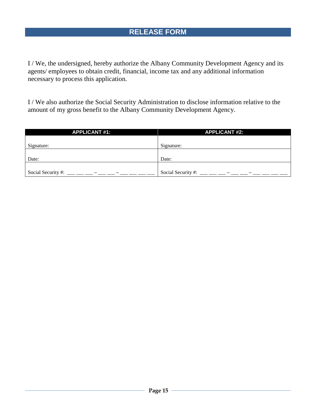I / We, the undersigned, hereby authorize the Albany Community Development Agency and its agents/ employees to obtain credit, financial, income tax and any additional information necessary to process this application.

I / We also authorize the Social Security Administration to disclose information relative to the amount of my gross benefit to the Albany Community Development Agency.

| <b>APPLICANT #1:</b> | <b>APPLICANT #2:</b> |
|----------------------|----------------------|
|                      |                      |
| Signature:           | Signature:           |
|                      |                      |
| Date:                | Date:                |
|                      |                      |
| Social Security #:   | Social Security #:   |